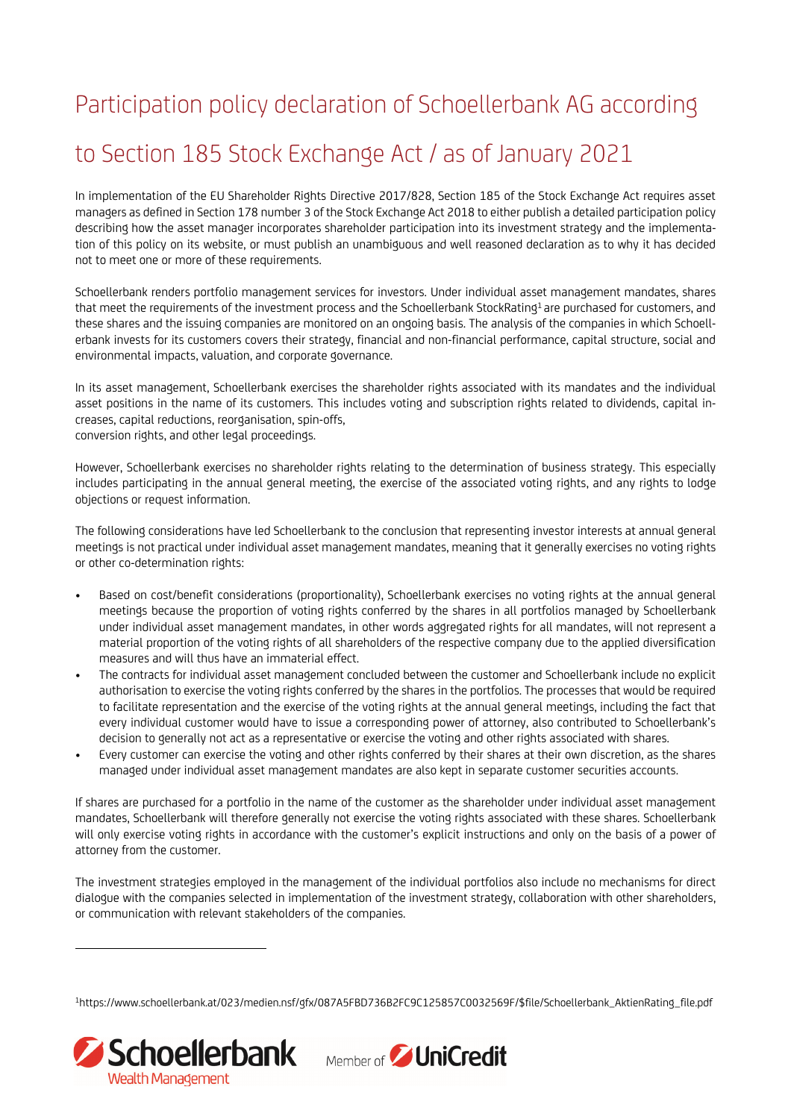## Participation policy declaration of Schoellerbank AG according to Section 185 Stock Exchange Act / as of January 2021

In implementation of the EU Shareholder Rights Directive 2017/828, Section 185 of the Stock Exchange Act requires asset managers as defined in Section 178 number 3 of the Stock Exchange Act 2018 to either publish a detailed participation policy describing how the asset manager incorporates shareholder participation into its investment strategy and the implementation of this policy on its website, or must publish an unambiguous and well reasoned declaration as to why it has decided not to meet one or more of these requirements.

Schoellerbank renders portfolio management services for investors. Under individual asset management mandates, shares that meet the requirements of the investment process and the Schoellerbank StockRating<sup>1</sup> are purchased for customers, and these shares and the issuing companies are monitored on an ongoing basis. The analysis of the companies in which Schoellerbank invests for its customers covers their strategy, financial and non-financial performance, capital structure, social and environmental impacts, valuation, and corporate governance.

In its asset management, Schoellerbank exercises the shareholder rights associated with its mandates and the individual asset positions in the name of its customers. This includes voting and subscription rights related to dividends, capital increases, capital reductions, reorganisation, spin-offs, conversion rights, and other legal proceedings.

However, Schoellerbank exercises no shareholder rights relating to the determination of business strategy. This especially includes participating in the annual general meeting, the exercise of the associated voting rights, and any rights to lodge objections or request information.

The following considerations have led Schoellerbank to the conclusion that representing investor interests at annual general meetings is not practical under individual asset management mandates, meaning that it generally exercises no voting rights or other co-determination rights:

- Based on cost/benefit considerations (proportionality), Schoellerbank exercises no voting rights at the annual general meetings because the proportion of voting rights conferred by the shares in all portfolios managed by Schoellerbank under individual asset management mandates, in other words aggregated rights for all mandates, will not represent a material proportion of the voting rights of all shareholders of the respective company due to the applied diversification measures and will thus have an immaterial effect.
- The contracts for individual asset management concluded between the customer and Schoellerbank include no explicit authorisation to exercise the voting rights conferred by the shares in the portfolios. The processes that would be required to facilitate representation and the exercise of the voting rights at the annual general meetings, including the fact that every individual customer would have to issue a corresponding power of attorney, also contributed to Schoellerbank's decision to generally not act as a representative or exercise the voting and other rights associated with shares.
- Every customer can exercise the voting and other rights conferred by their shares at their own discretion, as the shares managed under individual asset management mandates are also kept in separate customer securities accounts.

If shares are purchased for a portfolio in the name of the customer as the shareholder under individual asset management mandates, Schoellerbank will therefore generally not exercise the voting rights associated with these shares. Schoellerbank will only exercise voting rights in accordance with the customer's explicit instructions and only on the basis of a power of attorney from the customer.

The investment strategies employed in the management of the individual portfolios also include no mechanisms for direct dialogue with the companies selected in implementation of the investment strategy, collaboration with other shareholders, or communication with relevant stakeholders of the companies.

1https://www.schoellerbank.at/023/medien.nsf/gfx/087A5FBD736B2FC9C125857C0032569F/\$file/Schoellerbank\_AktienRating\_file.pdf